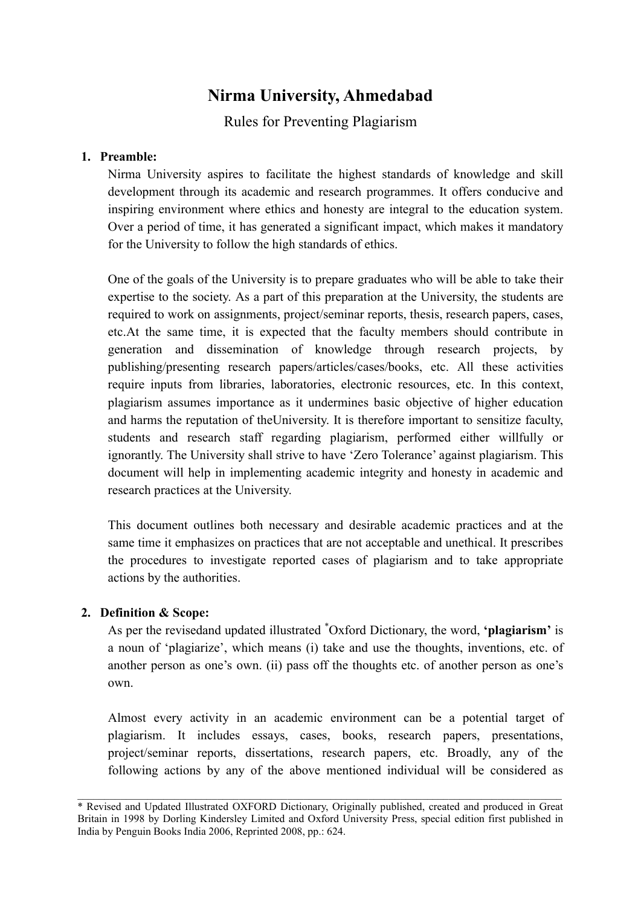# Nirma University, Ahmedabad

Rules for Preventing Plagiarism

# 1. Preamble:

Nirma University aspires to facilitate the highest standards of knowledge and skill development through its academic and research programmes. It offers conducive and inspiring environment where ethics and honesty are integral to the education system. Over a period of time, it has generated a significant impact, which makes it mandatory for the University to follow the high standards of ethics.

One of the goals of the University is to prepare graduates who will be able to take their expertise to the society. As a part of this preparation at the University, the students are required to work on assignments, project/seminar reports, thesis, research papers, cases, etc.At the same time, it is expected that the faculty members should contribute in generation and dissemination of knowledge through research projects, by publishing/presenting research papers/articles/cases/books, etc. All these activities require inputs from libraries, laboratories, electronic resources, etc. In this context, plagiarism assumes importance as it undermines basic objective of higher education and harms the reputation of theUniversity. It is therefore important to sensitize faculty, students and research staff regarding plagiarism, performed either willfully or ignorantly. The University shall strive to have 'Zero Tolerance' against plagiarism. This document will help in implementing academic integrity and honesty in academic and research practices at the University.

This document outlines both necessary and desirable academic practices and at the same time it emphasizes on practices that are not acceptable and unethical. It prescribes the procedures to investigate reported cases of plagiarism and to take appropriate actions by the authorities.

# 2. Definition & Scope:

As per the revisedand updated illustrated <sup>\*</sup>Oxford Dictionary, the word, **'plagiarism'** is a noun of 'plagiarize', which means (i) take and use the thoughts, inventions, etc. of another person as one's own. (ii) pass off the thoughts etc. of another person as one's own.

Almost every activity in an academic environment can be a potential target of plagiarism. It includes essays, cases, books, research papers, presentations, project/seminar reports, dissertations, research papers, etc. Broadly, any of the following actions by any of the above mentioned individual will be considered as

 $\_$  ,  $\_$  ,  $\_$  ,  $\_$  ,  $\_$  ,  $\_$  ,  $\_$  ,  $\_$  ,  $\_$  ,  $\_$  ,  $\_$  ,  $\_$  ,  $\_$  ,  $\_$  ,  $\_$  ,  $\_$  ,  $\_$  ,  $\_$  ,  $\_$  ,  $\_$  ,  $\_$  ,  $\_$  ,  $\_$  ,  $\_$  ,  $\_$  ,  $\_$  ,  $\_$  ,  $\_$  ,  $\_$  ,  $\_$  ,  $\_$  ,  $\_$  ,  $\_$  ,  $\_$  ,  $\_$  ,  $\_$  ,  $\_$  , \* Revised and Updated Illustrated OXFORD Dictionary, Originally published, created and produced in Great Britain in 1998 by Dorling Kindersley Limited and Oxford University Press, special edition first published in India by Penguin Books India 2006, Reprinted 2008, pp.: 624.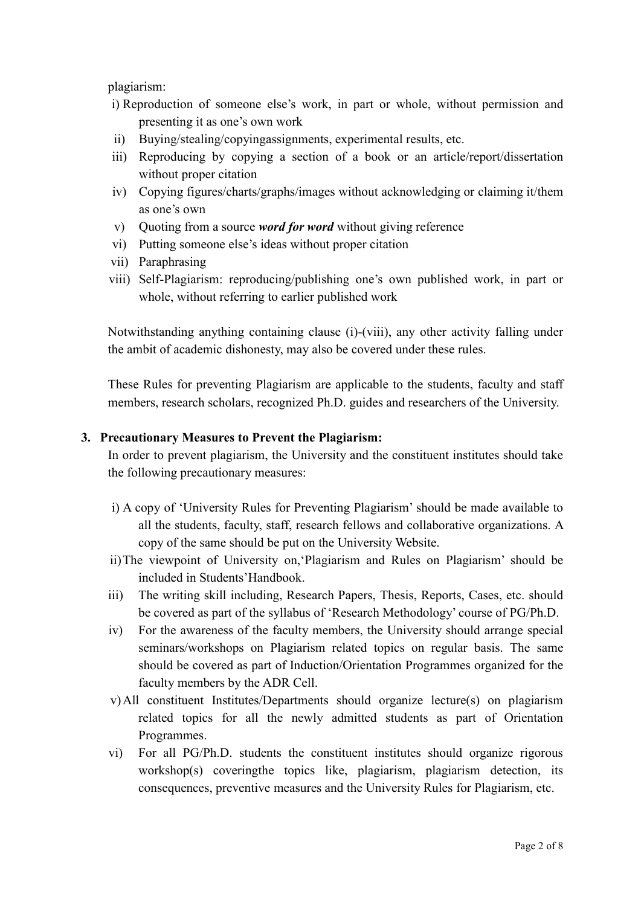plagiarism:

- i) Reproduction of someone else's work, in part or whole, without permission and presenting it as one's own work
- ii) Buying/stealing/copyingassignments, experimental results, etc.
- iii) Reproducing by copying a section of a book or an article/report/dissertation without proper citation
- iv) Copying figures/charts/graphs/images without acknowledging or claiming it/them as one's own
- v) Quoting from a source *word for word* without giving reference
- vi) Putting someone else's ideas without proper citation
- vii) Paraphrasing
- viii) Self-Plagiarism: reproducing/publishing one's own published work, in part or whole, without referring to earlier published work

Notwithstanding anything containing clause (i)-(viii), any other activity falling under the ambit of academic dishonesty, may also be covered under these rules.

These Rules for preventing Plagiarism are applicable to the students, faculty and staff members, research scholars, recognized Ph.D. guides and researchers of the University.

#### 3. Precautionary Measures to Prevent the Plagiarism:

In order to prevent plagiarism, the University and the constituent institutes should take the following precautionary measures:

- i) A copy of 'University Rules for Preventing Plagiarism' should be made available to all the students, faculty, staff, research fellows and collaborative organizations. A copy of the same should be put on the University Website.
- ii)The viewpoint of University on,'Plagiarism and Rules on Plagiarism' should be included in Students'Handbook.
- iii) The writing skill including, Research Papers, Thesis, Reports, Cases, etc. should be covered as part of the syllabus of 'Research Methodology' course of PG/Ph.D.
- iv) For the awareness of the faculty members, the University should arrange special seminars/workshops on Plagiarism related topics on regular basis. The same should be covered as part of Induction/Orientation Programmes organized for the faculty members by the ADR Cell.
- v)All constituent Institutes/Departments should organize lecture(s) on plagiarism related topics for all the newly admitted students as part of Orientation Programmes.
- vi) For all PG/Ph.D. students the constituent institutes should organize rigorous workshop(s) coveringthe topics like, plagiarism, plagiarism detection, its consequences, preventive measures and the University Rules for Plagiarism, etc.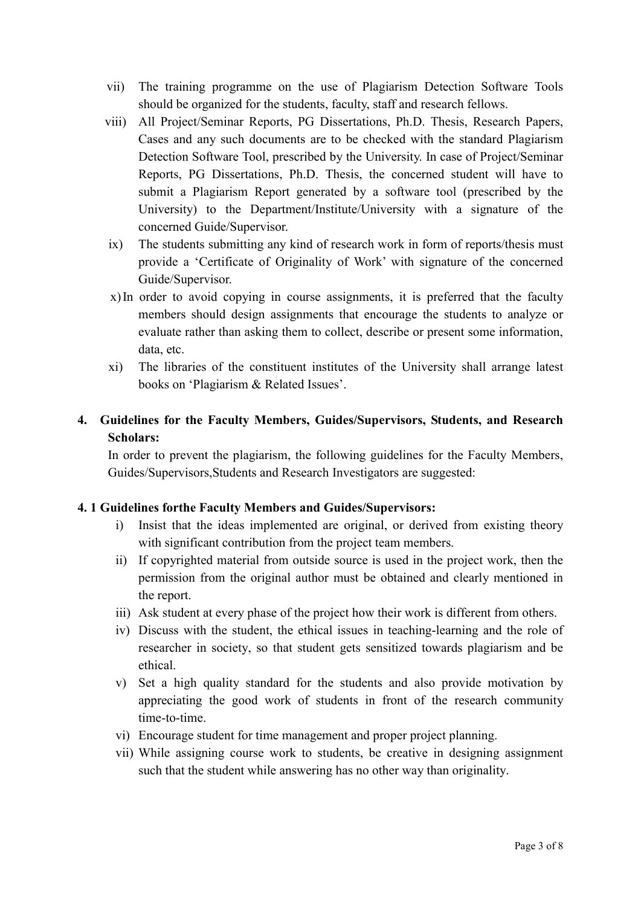- vii) The training programme on the use of Plagiarism Detection Software Tools should be organized for the students, faculty, staff and research fellows.
- viii) All Project/Seminar Reports, PG Dissertations, Ph.D. Thesis, Research Papers, Cases and any such documents are to be checked with the standard Plagiarism Detection Software Tool, prescribed by the University. In case of Project/Seminar Reports, PG Dissertations, Ph.D. Thesis, the concerned student will have to submit a Plagiarism Report generated by a software tool (prescribed by the University) to the Department/Institute/University with a signature of the concerned Guide/Supervisor.
- ix) The students submitting any kind of research work in form of reports/thesis must provide a 'Certificate of Originality of Work' with signature of the concerned Guide/Supervisor.
- x)In order to avoid copying in course assignments, it is preferred that the faculty members should design assignments that encourage the students to analyze or evaluate rather than asking them to collect, describe or present some information, data, etc.
- xi) The libraries of the constituent institutes of the University shall arrange latest books on 'Plagiarism & Related Issues'.

# 4. Guidelines for the Faculty Members, Guides/Supervisors, Students, and Research Scholars:

In order to prevent the plagiarism, the following guidelines for the Faculty Members, Guides/Supervisors,Students and Research Investigators are suggested:

#### 4. 1 Guidelines forthe Faculty Members and Guides/Supervisors:

- i) Insist that the ideas implemented are original, or derived from existing theory with significant contribution from the project team members.
- ii) If copyrighted material from outside source is used in the project work, then the permission from the original author must be obtained and clearly mentioned in the report.
- iii) Ask student at every phase of the project how their work is different from others.
- iv) Discuss with the student, the ethical issues in teaching-learning and the role of researcher in society, so that student gets sensitized towards plagiarism and be ethical.
- v) Set a high quality standard for the students and also provide motivation by appreciating the good work of students in front of the research community time-to-time.
- vi) Encourage student for time management and proper project planning.
- vii) While assigning course work to students, be creative in designing assignment such that the student while answering has no other way than originality.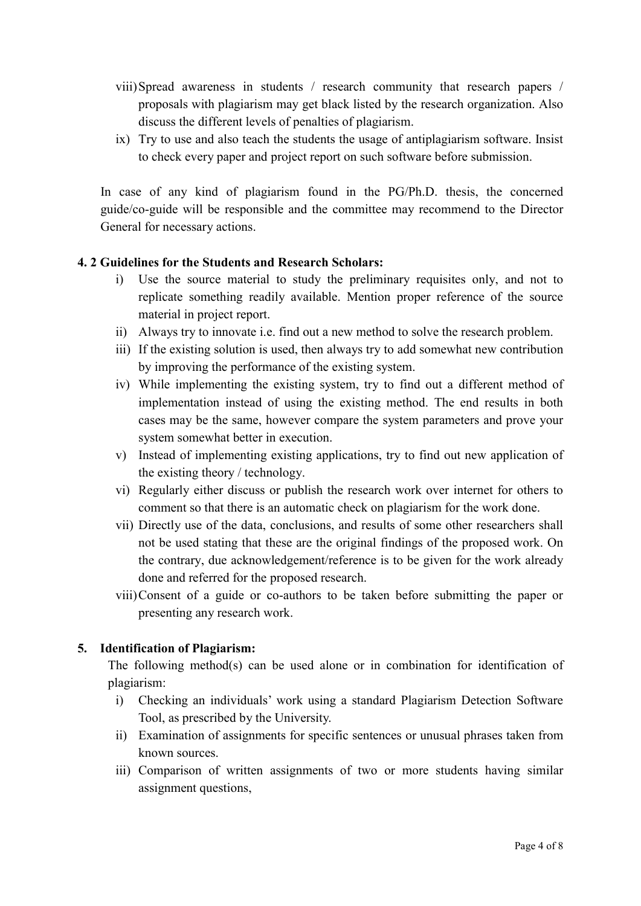- viii)Spread awareness in students / research community that research papers / proposals with plagiarism may get black listed by the research organization. Also discuss the different levels of penalties of plagiarism.
- ix) Try to use and also teach the students the usage of antiplagiarism software. Insist to check every paper and project report on such software before submission.

In case of any kind of plagiarism found in the PG/Ph.D. thesis, the concerned guide/co-guide will be responsible and the committee may recommend to the Director General for necessary actions.

# 4. 2 Guidelines for the Students and Research Scholars:

- i) Use the source material to study the preliminary requisites only, and not to replicate something readily available. Mention proper reference of the source material in project report.
- ii) Always try to innovate i.e. find out a new method to solve the research problem.
- iii) If the existing solution is used, then always try to add somewhat new contribution by improving the performance of the existing system.
- iv) While implementing the existing system, try to find out a different method of implementation instead of using the existing method. The end results in both cases may be the same, however compare the system parameters and prove your system somewhat better in execution.
- v) Instead of implementing existing applications, try to find out new application of the existing theory / technology.
- vi) Regularly either discuss or publish the research work over internet for others to comment so that there is an automatic check on plagiarism for the work done.
- vii) Directly use of the data, conclusions, and results of some other researchers shall not be used stating that these are the original findings of the proposed work. On the contrary, due acknowledgement/reference is to be given for the work already done and referred for the proposed research.
- viii)Consent of a guide or co-authors to be taken before submitting the paper or presenting any research work.

#### 5. Identification of Plagiarism:

The following method(s) can be used alone or in combination for identification of plagiarism:

- i) Checking an individuals' work using a standard Plagiarism Detection Software Tool, as prescribed by the University.
- ii) Examination of assignments for specific sentences or unusual phrases taken from known sources.
- iii) Comparison of written assignments of two or more students having similar assignment questions,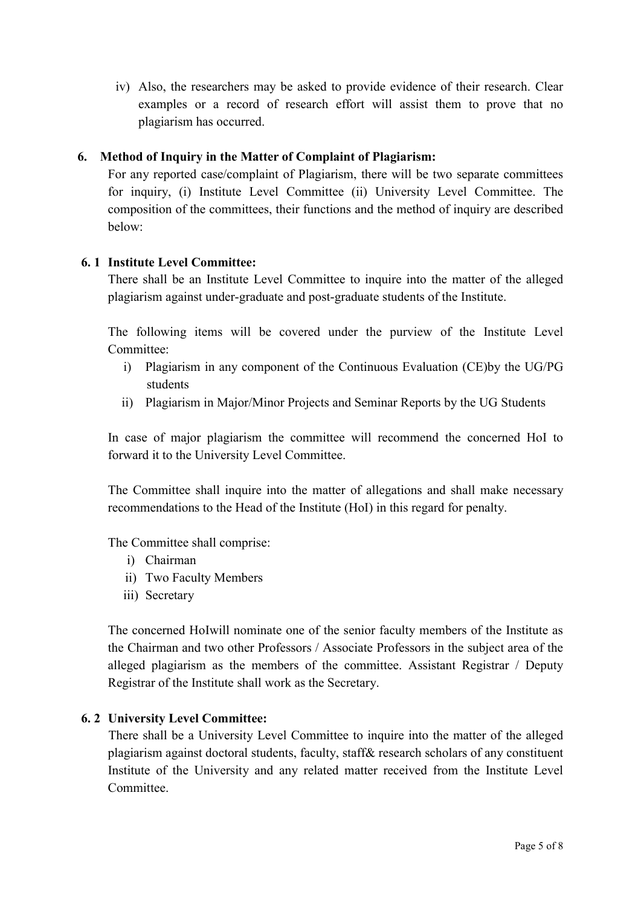iv) Also, the researchers may be asked to provide evidence of their research. Clear examples or a record of research effort will assist them to prove that no plagiarism has occurred.

# 6. Method of Inquiry in the Matter of Complaint of Plagiarism:

For any reported case/complaint of Plagiarism, there will be two separate committees for inquiry, (i) Institute Level Committee (ii) University Level Committee. The composition of the committees, their functions and the method of inquiry are described below:

#### 6. 1 Institute Level Committee:

There shall be an Institute Level Committee to inquire into the matter of the alleged plagiarism against under-graduate and post-graduate students of the Institute.

The following items will be covered under the purview of the Institute Level Committee:

- i) Plagiarism in any component of the Continuous Evaluation (CE)by the UG/PG students
- ii) Plagiarism in Major/Minor Projects and Seminar Reports by the UG Students

In case of major plagiarism the committee will recommend the concerned HoI to forward it to the University Level Committee.

The Committee shall inquire into the matter of allegations and shall make necessary recommendations to the Head of the Institute (HoI) in this regard for penalty.

The Committee shall comprise:

- i) Chairman
- ii) Two Faculty Members
- iii) Secretary

The concerned HoIwill nominate one of the senior faculty members of the Institute as the Chairman and two other Professors / Associate Professors in the subject area of the alleged plagiarism as the members of the committee. Assistant Registrar / Deputy Registrar of the Institute shall work as the Secretary.

#### 6. 2 University Level Committee:

There shall be a University Level Committee to inquire into the matter of the alleged plagiarism against doctoral students, faculty, staff& research scholars of any constituent Institute of the University and any related matter received from the Institute Level **Committee**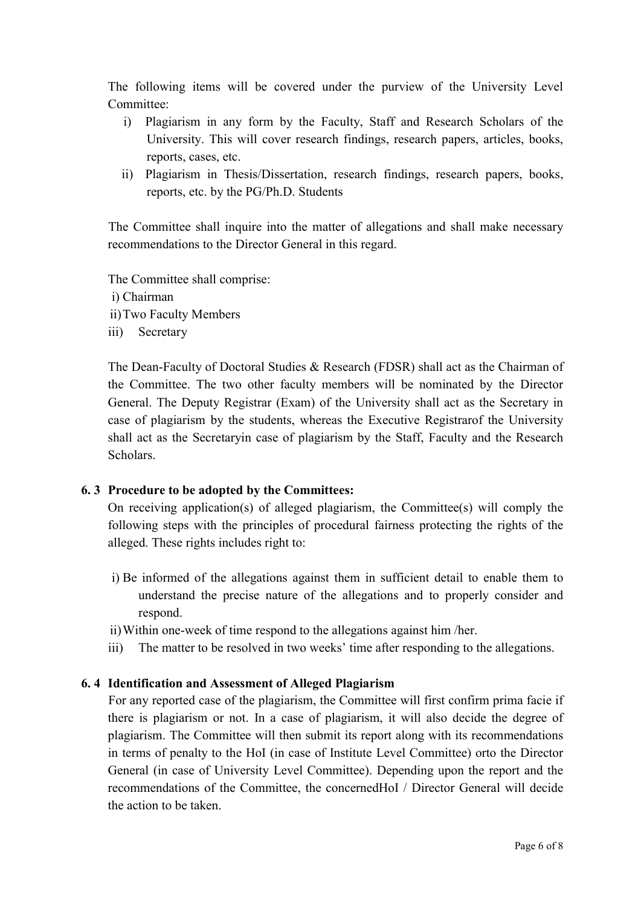The following items will be covered under the purview of the University Level Committee<sup>.</sup>

- i) Plagiarism in any form by the Faculty, Staff and Research Scholars of the University. This will cover research findings, research papers, articles, books, reports, cases, etc.
- ii) Plagiarism in Thesis/Dissertation, research findings, research papers, books, reports, etc. by the PG/Ph.D. Students

The Committee shall inquire into the matter of allegations and shall make necessary recommendations to the Director General in this regard.

The Committee shall comprise:

- i) Chairman
- ii)Two Faculty Members
- iii) Secretary

The Dean-Faculty of Doctoral Studies & Research (FDSR) shall act as the Chairman of the Committee. The two other faculty members will be nominated by the Director General. The Deputy Registrar (Exam) of the University shall act as the Secretary in case of plagiarism by the students, whereas the Executive Registrarof the University shall act as the Secretaryin case of plagiarism by the Staff, Faculty and the Research Scholars.

#### 6. 3 Procedure to be adopted by the Committees:

On receiving application(s) of alleged plagiarism, the Committee(s) will comply the following steps with the principles of procedural fairness protecting the rights of the alleged. These rights includes right to:

- i) Be informed of the allegations against them in sufficient detail to enable them to understand the precise nature of the allegations and to properly consider and respond.
- ii)Within one-week of time respond to the allegations against him /her.
- iii) The matter to be resolved in two weeks' time after responding to the allegations.

#### 6. 4 Identification and Assessment of Alleged Plagiarism

For any reported case of the plagiarism, the Committee will first confirm prima facie if there is plagiarism or not. In a case of plagiarism, it will also decide the degree of plagiarism. The Committee will then submit its report along with its recommendations in terms of penalty to the HoI (in case of Institute Level Committee) orto the Director General (in case of University Level Committee). Depending upon the report and the recommendations of the Committee, the concernedHoI / Director General will decide the action to be taken.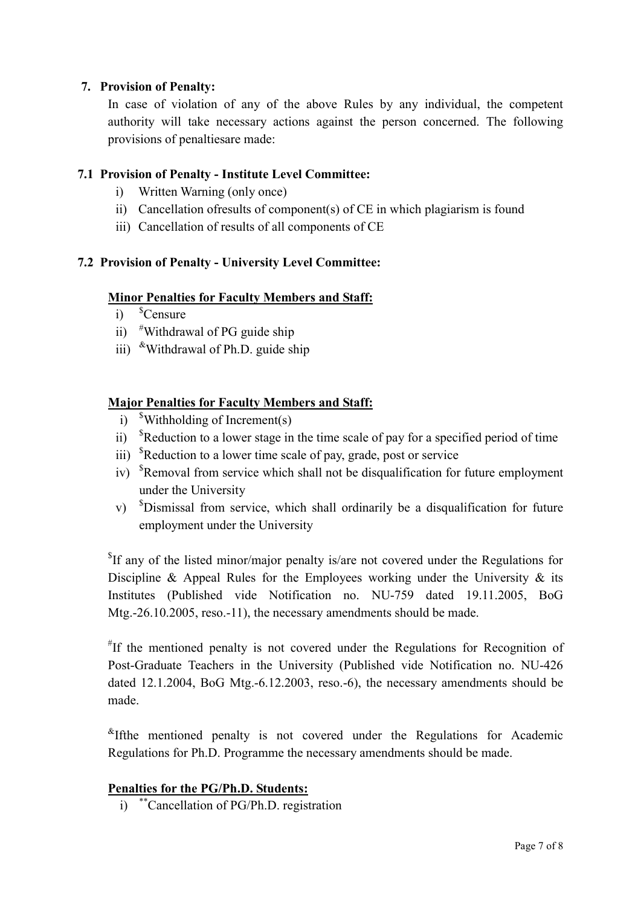#### 7. Provision of Penalty:

In case of violation of any of the above Rules by any individual, the competent authority will take necessary actions against the person concerned. The following provisions of penaltiesare made:

# 7.1 Provision of Penalty - Institute Level Committee:

- i) Written Warning (only once)
- ii) Cancellation ofresults of component(s) of CE in which plagiarism is found
- iii) Cancellation of results of all components of CE

# 7.2 Provision of Penalty - University Level Committee:

#### Minor Penalties for Faculty Members and Staff:

- $i)$ <sup>\$</sup>Censure
- ii) <sup>#</sup>Withdrawal of PG guide ship
- iii)  $\text{w}$ Withdrawal of Ph.D. guide ship

#### Major Penalties for Faculty Members and Staff:

- i)  $$Withouting of Increment(s)$
- ii)  ${}^{s}$ Reduction to a lower stage in the time scale of pay for a specified period of time
- iii) <sup>\$</sup>Reduction to a lower time scale of pay, grade, post or service
- iv) <sup>\$</sup>Removal from service which shall not be disqualification for future employment under the University
- v) <sup>\$</sup>Dismissal from service, which shall ordinarily be a disqualification for future employment under the University

<sup>\$</sup>If any of the listed minor/major penalty is/are not covered under the Regulations for Discipline & Appeal Rules for the Employees working under the University  $\&$  its Institutes (Published vide Notification no. NU-759 dated 19.11.2005, BoG Mtg.-26.10.2005, reso.-11), the necessary amendments should be made.

# If the mentioned penalty is not covered under the Regulations for Recognition of Post-Graduate Teachers in the University (Published vide Notification no. NU-426 dated 12.1.2004, BoG Mtg.-6.12.2003, reso.-6), the necessary amendments should be made.

 $K$ <sup>R</sup>Ifthe mentioned penalty is not covered under the Regulations for Academic Regulations for Ph.D. Programme the necessary amendments should be made.

#### Penalties for the PG/Ph.D. Students:

i) \*\*Cancellation of PG/Ph.D. registration